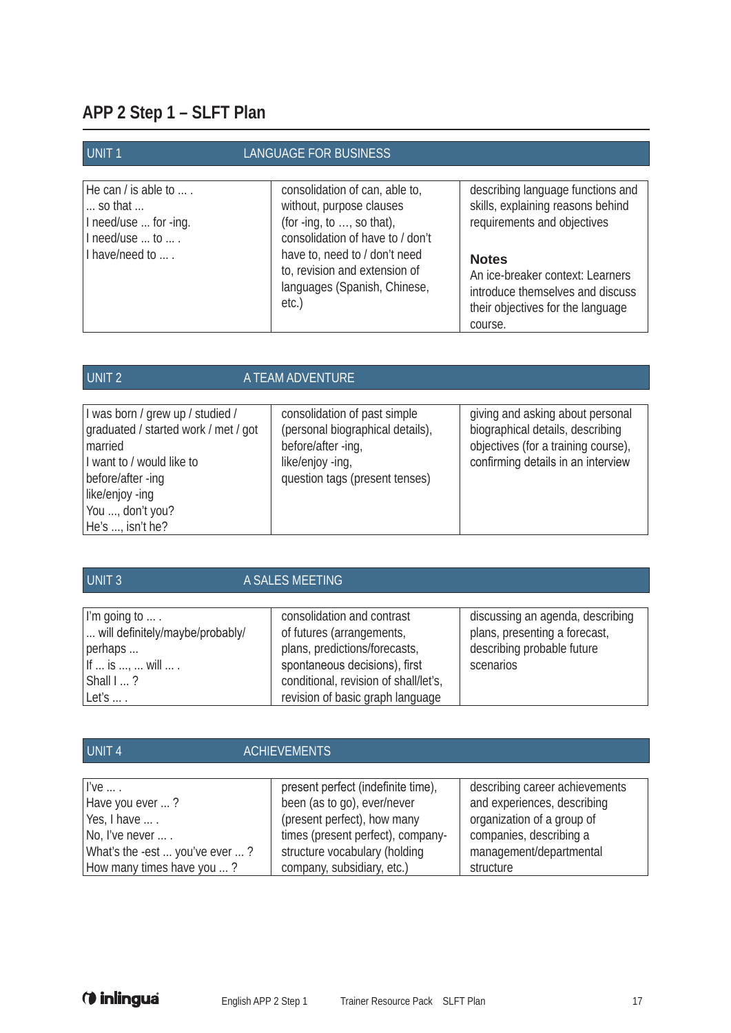## **APP 2 Step 1 – SLFT Plan**

| <b>UNIT1</b>                                                                                                               | LANGUAGE FOR BUSINESS                                                                                                                                                                                                                    |                                                                                                                                                                                                                                               |
|----------------------------------------------------------------------------------------------------------------------------|------------------------------------------------------------------------------------------------------------------------------------------------------------------------------------------------------------------------------------------|-----------------------------------------------------------------------------------------------------------------------------------------------------------------------------------------------------------------------------------------------|
| He can / is able to $\dots$ .<br>$\ldots$ so that $\ldots$<br>I need/use  for -ing.<br>I need/use  to  .<br>I have/need to | consolidation of can, able to,<br>without, purpose clauses<br>(for -ing, to $,$ so that),<br>consolidation of have to / don't<br>have to, need to / don't need<br>to, revision and extension of<br>languages (Spanish, Chinese,<br>etc.) | describing language functions and<br>skills, explaining reasons behind<br>requirements and objectives<br><b>Notes</b><br>An ice-breaker context: Learners<br>introduce themselves and discuss<br>their objectives for the language<br>course. |

| UNIT <sub>2</sub>                                                                                                | A TEAM ADVENTURE                                                                                           |                                                                                                                                                   |
|------------------------------------------------------------------------------------------------------------------|------------------------------------------------------------------------------------------------------------|---------------------------------------------------------------------------------------------------------------------------------------------------|
| I was born / grew up / studied /<br>graduated / started work / met / got<br>married<br>I want to / would like to | consolidation of past simple<br>(personal biographical details),<br>before/after -ing,<br>like/enjoy -ing, | giving and asking about personal<br>biographical details, describing<br>objectives (for a training course),<br>confirming details in an interview |
| before/after -ing<br>like/enjoy -ing<br>You , don't you?<br>He's , isn't he?                                     | question tags (present tenses)                                                                             |                                                                                                                                                   |

| <b>UNIT 3</b>                                                                                                          | A SALES MEETING                                                                                                           |                                                                                                              |
|------------------------------------------------------------------------------------------------------------------------|---------------------------------------------------------------------------------------------------------------------------|--------------------------------------------------------------------------------------------------------------|
| I'm going to $\dots$ .<br>will definitely/maybe/probably/<br>perhaps<br>If $\dots$ is $\dots$ , $\dots$ will $\dots$ . | consolidation and contrast<br>of futures (arrangements,<br>plans, predictions/forecasts,<br>spontaneous decisions), first | discussing an agenda, describing<br>plans, presenting a forecast,<br>describing probable future<br>scenarios |
| Shall?<br>Let's $\dots$ .                                                                                              | conditional, revision of shall/let's,<br>revision of basic graph language                                                 |                                                                                                              |

| UNIT <sub>4</sub>              | <b>ACHIEVEMENTS</b>                |                                |
|--------------------------------|------------------------------------|--------------------------------|
|                                |                                    |                                |
| $I've \dots$                   | present perfect (indefinite time), | describing career achievements |
| Have you ever ?                | been (as to go), ever/never        | and experiences, describing    |
| Yes, I have                    | (present perfect), how many        | organization of a group of     |
| No, I've never  .              | times (present perfect), company-  | companies, describing a        |
| What's the -est  you've ever ? | structure vocabulary (holding      | management/departmental        |
| How many times have you ?      | company, subsidiary, etc.)         | structure                      |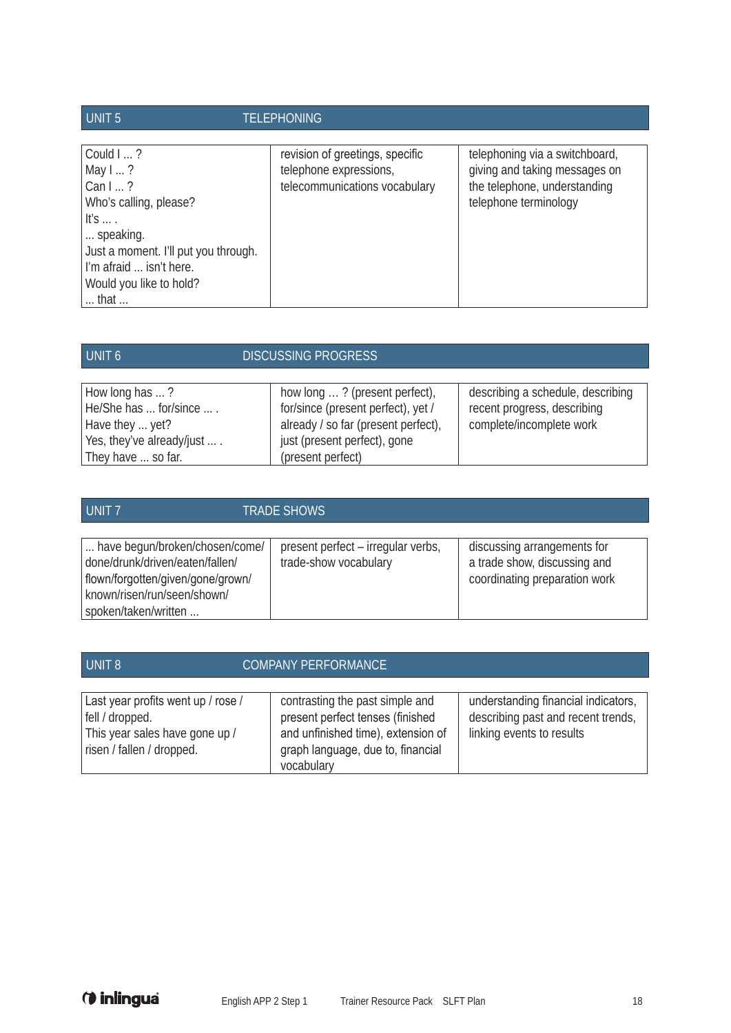| UNIT <sub>5</sub>                                                                                                                                                                          | <b>TELEPHONING</b>                                                                         |                                                                                                                          |
|--------------------------------------------------------------------------------------------------------------------------------------------------------------------------------------------|--------------------------------------------------------------------------------------------|--------------------------------------------------------------------------------------------------------------------------|
| Could I ?<br>May $1$ ?<br>Can $1$ ?<br>Who's calling, please?<br>It's $\dots$ .<br>speaking.<br>Just a moment. I'll put you through.<br>I'm afraid  isn't here.<br>Would you like to hold? | revision of greetings, specific<br>telephone expressions,<br>telecommunications vocabulary | telephoning via a switchboard,<br>giving and taking messages on<br>the telephone, understanding<br>telephone terminology |
| $\dots$ that $\dots$                                                                                                                                                                       |                                                                                            |                                                                                                                          |

| UNIT <sub>6</sub>            | <b>DISCUSSING PROGRESS</b>          |                                   |
|------------------------------|-------------------------------------|-----------------------------------|
|                              |                                     |                                   |
| How long has ?               | how long ? (present perfect),       | describing a schedule, describing |
| He/She has  for/since  .     | for/since (present perfect), yet /  | recent progress, describing       |
| Have they  yet?              | already / so far (present perfect), | complete/incomplete work          |
| Yes, they've already/just  . | just (present perfect), gone        |                                   |
| They have  so far.           | (present perfect)                   |                                   |

| UNIT <sub>7</sub>                                                                                                                                             | <b>TRADE SHOWS</b>                                          |                                                                                              |
|---------------------------------------------------------------------------------------------------------------------------------------------------------------|-------------------------------------------------------------|----------------------------------------------------------------------------------------------|
| have begun/broken/chosen/come/<br>done/drunk/driven/eaten/fallen/<br>flown/forgotten/given/gone/grown/<br>known/risen/run/seen/shown/<br>spoken/taken/written | present perfect - irregular verbs,<br>trade-show vocabulary | discussing arrangements for<br>a trade show, discussing and<br>coordinating preparation work |

| UNIT <sub>8</sub>                                                                                                    | <b>COMPANY PERFORMANCE</b>                                                                                                                                   |                                                                                                        |
|----------------------------------------------------------------------------------------------------------------------|--------------------------------------------------------------------------------------------------------------------------------------------------------------|--------------------------------------------------------------------------------------------------------|
| Last year profits went up / rose /<br>fell / dropped.<br>This year sales have gone up /<br>risen / fallen / dropped. | contrasting the past simple and<br>present perfect tenses (finished<br>and unfinished time), extension of<br>graph language, due to, financial<br>vocabulary | understanding financial indicators,<br>describing past and recent trends,<br>linking events to results |

*O* inlingua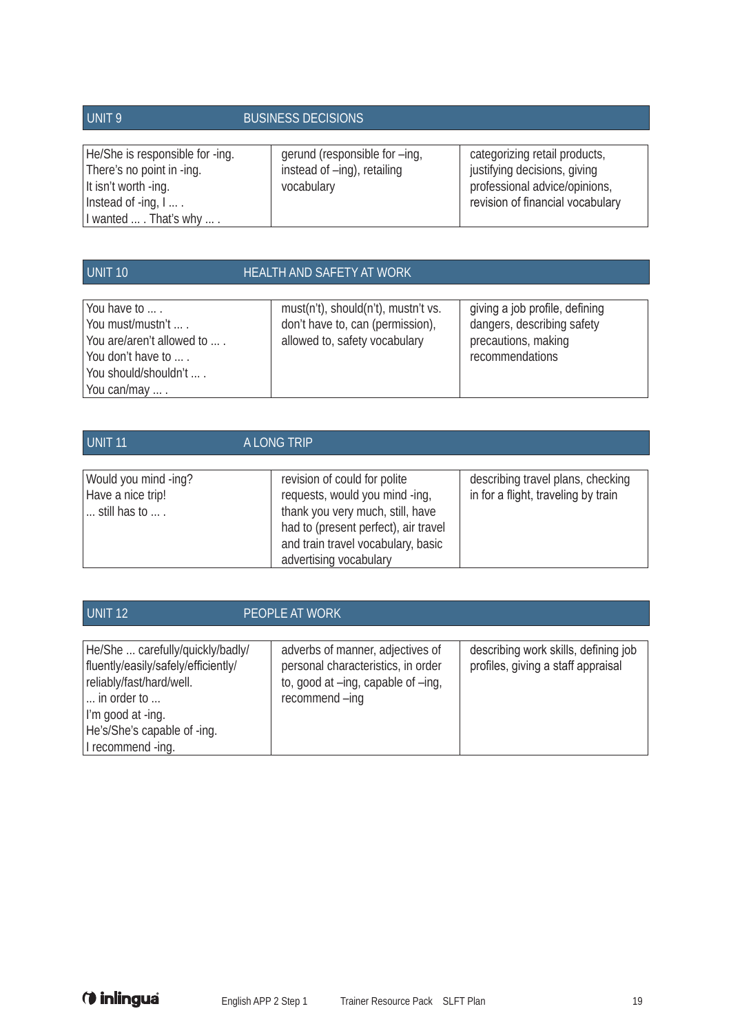| UNIT <sub>9</sub>                                                                                          | <b>BUSINESS DECISIONS</b>                                                  |                                                                                                                                    |
|------------------------------------------------------------------------------------------------------------|----------------------------------------------------------------------------|------------------------------------------------------------------------------------------------------------------------------------|
| He/She is responsible for -ing.<br>There's no point in -ing.<br>It isn't worth -ing.<br>Instead of -ing, I | gerund (responsible for -ing,<br>instead of -ing), retailing<br>vocabulary | categorizing retail products,<br>justifying decisions, giving<br>professional advice/opinions,<br>revision of financial vocabulary |
| I wanted  That's why  .                                                                                    |                                                                            |                                                                                                                                    |

| UNIT <sub>10</sub>                                                                                                                | <b>HEALTH AND SAFETY AT WORK</b>                                                                         |                                                                                                        |
|-----------------------------------------------------------------------------------------------------------------------------------|----------------------------------------------------------------------------------------------------------|--------------------------------------------------------------------------------------------------------|
| You have to<br>You must/mustn't  .<br>You are/aren't allowed to<br>You don't have to<br>You should/shouldn't  .<br>You can/may  . | must(n't), should(n't), mustn't vs.<br>don't have to, can (permission),<br>allowed to, safety vocabulary | giving a job profile, defining<br>dangers, describing safety<br>precautions, making<br>recommendations |

| UNIT <sub>11</sub>                                                            | A LONG TRIP                                                                                                                                                                                                |                                                                          |
|-------------------------------------------------------------------------------|------------------------------------------------------------------------------------------------------------------------------------------------------------------------------------------------------------|--------------------------------------------------------------------------|
| Would you mind -ing?<br>Have a nice trip!<br>$\ldots$ still has to $\ldots$ . | revision of could for polite<br>requests, would you mind -ing,<br>thank you very much, still, have<br>had to (present perfect), air travel<br>and train travel vocabulary, basic<br>advertising vocabulary | describing travel plans, checking<br>in for a flight, traveling by train |

| UNIT <sub>12</sub>                                                                                                                                                                          | PEOPLE AT WORK                                                                                                                |                                                                            |
|---------------------------------------------------------------------------------------------------------------------------------------------------------------------------------------------|-------------------------------------------------------------------------------------------------------------------------------|----------------------------------------------------------------------------|
| He/She  carefully/quickly/badly/<br>fluently/easily/safely/efficiently/<br>reliably/fast/hard/well.<br>in order to<br>I'm good at -ing.<br>He's/She's capable of -ing.<br>I recommend -ing. | adverbs of manner, adjectives of<br>personal characteristics, in order<br>to, good at -ing, capable of -inq,<br>recommend-ing | describing work skills, defining job<br>profiles, giving a staff appraisal |